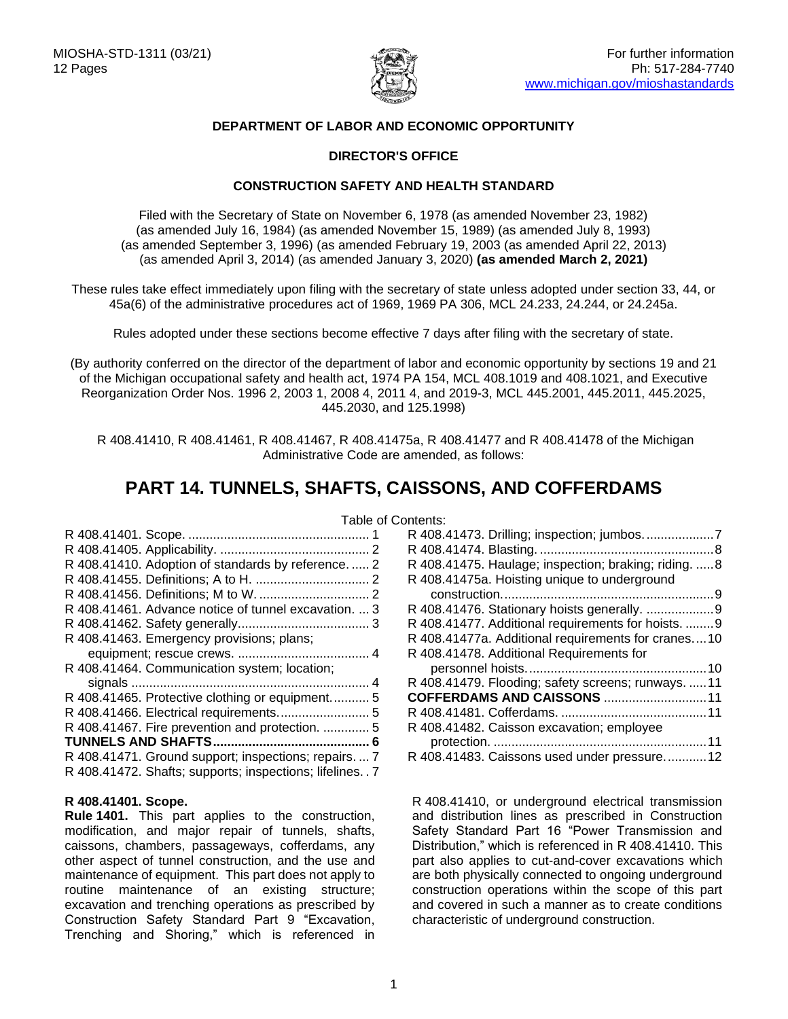

# **DEPARTMENT OF LABOR AND ECONOMIC OPPORTUNITY**

# **DIRECTOR'S OFFICE**

# **CONSTRUCTION SAFETY AND HEALTH STANDARD**

Filed with the Secretary of State on November 6, 1978 (as amended November 23, 1982) (as amended July 16, 1984) (as amended November 15, 1989) (as amended July 8, 1993) (as amended September 3, 1996) (as amended February 19, 2003 (as amended April 22, 2013) (as amended April 3, 2014) (as amended January 3, 2020) **(as amended March 2, 2021)**

These rules take effect immediately upon filing with the secretary of state unless adopted under section 33, 44, or 45a(6) of the administrative procedures act of 1969, 1969 PA 306, MCL 24.233, 24.244, or 24.245a.

Rules adopted under these sections become effective 7 days after filing with the secretary of state.

(By authority conferred on the director of the department of labor and economic opportunity by sections 19 and 21 of the Michigan occupational safety and health act, 1974 PA 154, MCL 408.1019 and 408.1021, and Executive Reorganization Order Nos. 1996 2, 2003 1, 2008 4, 2011 4, and 2019-3, MCL 445.2001, 445.2011, 445.2025, 445.2030, and 125.1998)

R 408.41410, R 408.41461, R 408.41467, R 408.41475a, R 408.41477 and R 408.41478 of the Michigan Administrative Code are amended, as follows:

# **PART 14. TUNNELS, SHAFTS, CAISSONS, AND COFFERDAMS**

| R 408.41410. Adoption of standards by reference.  2    |  |
|--------------------------------------------------------|--|
|                                                        |  |
|                                                        |  |
| R 408.41461. Advance notice of tunnel excavation.  3   |  |
|                                                        |  |
| R 408.41463. Emergency provisions; plans;              |  |
|                                                        |  |
| R 408.41464. Communication system; location;           |  |
|                                                        |  |
| R 408.41465. Protective clothing or equipment 5        |  |
|                                                        |  |
| R 408.41467. Fire prevention and protection.  5        |  |
|                                                        |  |
| R 408.41471. Ground support; inspections; repairs.  7  |  |
| R 408.41472. Shafts; supports; inspections; lifelines7 |  |

# <span id="page-0-0"></span>**R 408.41401. Scope.**

<span id="page-0-1"></span>**Rule 1401.** This part applies to the construction, modification, and major repair of tunnels, shafts, caissons, chambers, passageways, cofferdams, any other aspect of tunnel construction, and the use and maintenance of equipment. This part does not apply to routine maintenance of an existing structure; excavation and trenching operations as prescribed by Construction Safety Standard Part 9 "Excavation, Trenching and Shoring," which is referenced in

| R 408.41475. Haulage; inspection; braking; riding.  8 |
|-------------------------------------------------------|
| R 408.41475a. Hoisting unique to underground          |
|                                                       |
|                                                       |
| R 408.41477. Additional requirements for hoists.  9   |
| R 408.41477a. Additional requirements for cranes10    |
|                                                       |
|                                                       |
| R 408.41479. Flooding; safety screens; runways. 11    |
| <b>COFFERDAMS AND CAISSONS 11</b>                     |
|                                                       |
| R 408.41482. Caisson excavation; employee             |
|                                                       |
| R 408.41483. Caissons used under pressure12           |
|                                                       |

R 408.41410, or underground electrical transmission and distribution lines as prescribed in Construction Safety Standard Part 16 "Power Transmission and Distribution," which is referenced in R 408.41410. This part also applies to cut-and-cover excavations which are both physically connected to ongoing underground construction operations within the scope of this part and covered in such a manner as to create conditions characteristic of underground construction.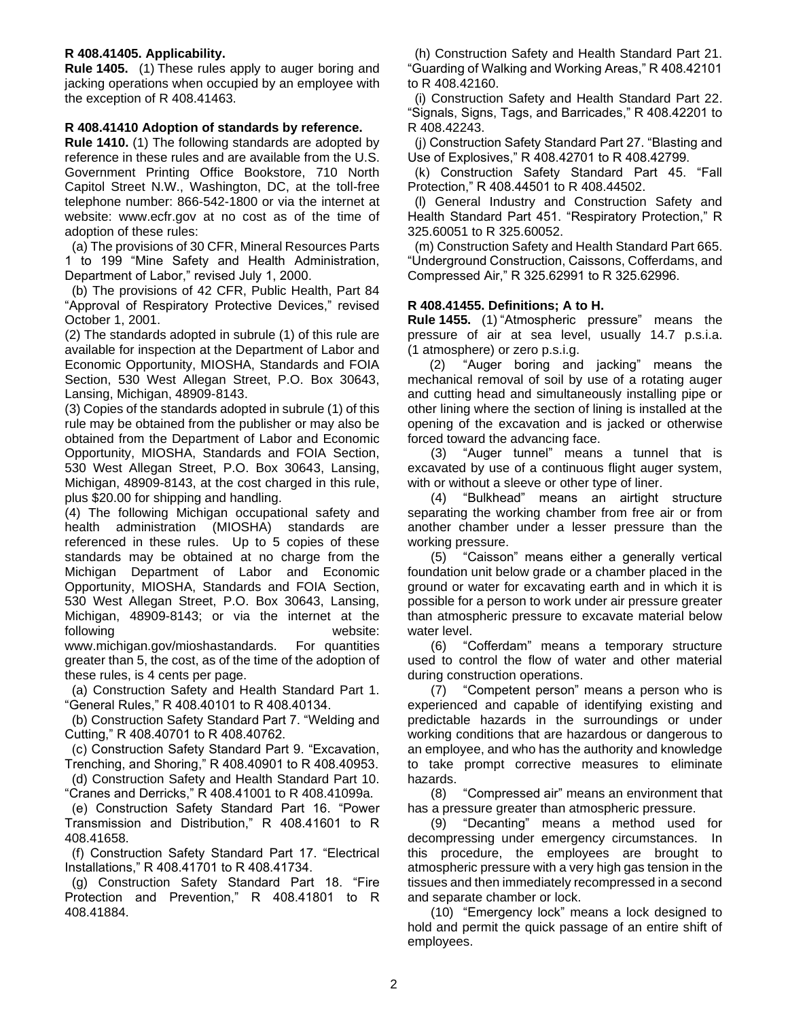# **R 408.41405. Applicability.**

**Rule 1405.** (1) These rules apply to auger boring and jacking operations when occupied by an employee with the exception of R 408.41463.

## <span id="page-1-0"></span>**R 408.41410 Adoption of standards by reference.**

**Rule 1410.** (1) The following standards are adopted by reference in these rules and are available from the U.S. Government Printing Office Bookstore, 710 North Capitol Street N.W., Washington, DC, at the toll-free telephone number: 866-542-1800 or via the internet at website: www.ecfr.gov at no cost as of the time of adoption of these rules:

 (a) The provisions of 30 CFR, Mineral Resources Parts 1 to 199 "Mine Safety and Health Administration, Department of Labor," revised July 1, 2000.

 (b) The provisions of 42 CFR, Public Health, Part 84 "Approval of Respiratory Protective Devices," revised October 1, 2001.

(2) The standards adopted in subrule (1) of this rule are available for inspection at the Department of Labor and Economic Opportunity, MIOSHA, Standards and FOIA Section, 530 West Allegan Street, P.O. Box 30643, Lansing, Michigan, 48909-8143.

(3) Copies of the standards adopted in subrule (1) of this rule may be obtained from the publisher or may also be obtained from the Department of Labor and Economic Opportunity, MIOSHA, Standards and FOIA Section, 530 West Allegan Street, P.O. Box 30643, Lansing, Michigan, 48909-8143, at the cost charged in this rule, plus \$20.00 for shipping and handling.

(4) The following Michigan occupational safety and health administration (MIOSHA) standards are referenced in these rules. Up to 5 copies of these standards may be obtained at no charge from the Michigan Department of Labor and Economic Opportunity, MIOSHA, Standards and FOIA Section, 530 West Allegan Street, P.O. Box 30643, Lansing, Michigan, 48909-8143; or via the internet at the following website:

www.michigan.gov/mioshastandards. For quantities greater than 5, the cost, as of the time of the adoption of these rules, is 4 cents per page.

 (a) Construction Safety and Health Standard Part 1. "General Rules," R 408.40101 to R 408.40134.

 (b) Construction Safety Standard Part 7. "Welding and Cutting," R 408.40701 to R 408.40762.

 (c) Construction Safety Standard Part 9. "Excavation, Trenching, and Shoring," R 408.40901 to R 408.40953.

 (d) Construction Safety and Health Standard Part 10. "Cranes and Derricks," R 408.41001 to R 408.41099a.

 (e) Construction Safety Standard Part 16. "Power Transmission and Distribution," R 408.41601 to R 408.41658.

 (f) Construction Safety Standard Part 17. "Electrical Installations," R 408.41701 to R 408.41734.

 (g) Construction Safety Standard Part 18. "Fire Protection and Prevention," R 408.41801 to R 408.41884.

 (h) Construction Safety and Health Standard Part 21. "Guarding of Walking and Working Areas," R 408.42101 to R 408.42160.

 (i) Construction Safety and Health Standard Part 22. "Signals, Signs, Tags, and Barricades," R 408.42201 to R 408.42243.

 (j) Construction Safety Standard Part 27. "Blasting and Use of Explosives," R 408.42701 to R 408.42799.

 (k) Construction Safety Standard Part 45. "Fall Protection," R 408.44501 to R 408.44502.

 (l) General Industry and Construction Safety and Health Standard Part 451. "Respiratory Protection," R 325.60051 to R 325.60052.

 (m) Construction Safety and Health Standard Part 665. "Underground Construction, Caissons, Cofferdams, and Compressed Air," R 325.62991 to R 325.62996.

# <span id="page-1-1"></span>**R 408.41455. Definitions; A to H.**

**Rule 1455.** (1) "Atmospheric pressure" means the pressure of air at sea level, usually 14.7 p.s.i.a. (1 atmosphere) or zero p.s.i.g.

(2) "Auger boring and jacking" means the mechanical removal of soil by use of a rotating auger and cutting head and simultaneously installing pipe or other lining where the section of lining is installed at the opening of the excavation and is jacked or otherwise forced toward the advancing face.

(3) "Auger tunnel" means a tunnel that is excavated by use of a continuous flight auger system, with or without a sleeve or other type of liner.

(4) "Bulkhead" means an airtight structure separating the working chamber from free air or from another chamber under a lesser pressure than the working pressure.

(5) "Caisson" means either a generally vertical foundation unit below grade or a chamber placed in the ground or water for excavating earth and in which it is possible for a person to work under air pressure greater than atmospheric pressure to excavate material below water level.

(6) "Cofferdam" means a temporary structure used to control the flow of water and other material during construction operations.

(7) "Competent person" means a person who is experienced and capable of identifying existing and predictable hazards in the surroundings or under working conditions that are hazardous or dangerous to an employee, and who has the authority and knowledge to take prompt corrective measures to eliminate hazards.

(8) "Compressed air" means an environment that has a pressure greater than atmospheric pressure.

(9) "Decanting" means a method used for decompressing under emergency circumstances. In this procedure, the employees are brought to atmospheric pressure with a very high gas tension in the tissues and then immediately recompressed in a second and separate chamber or lock.

(10) "Emergency lock" means a lock designed to hold and permit the quick passage of an entire shift of employees.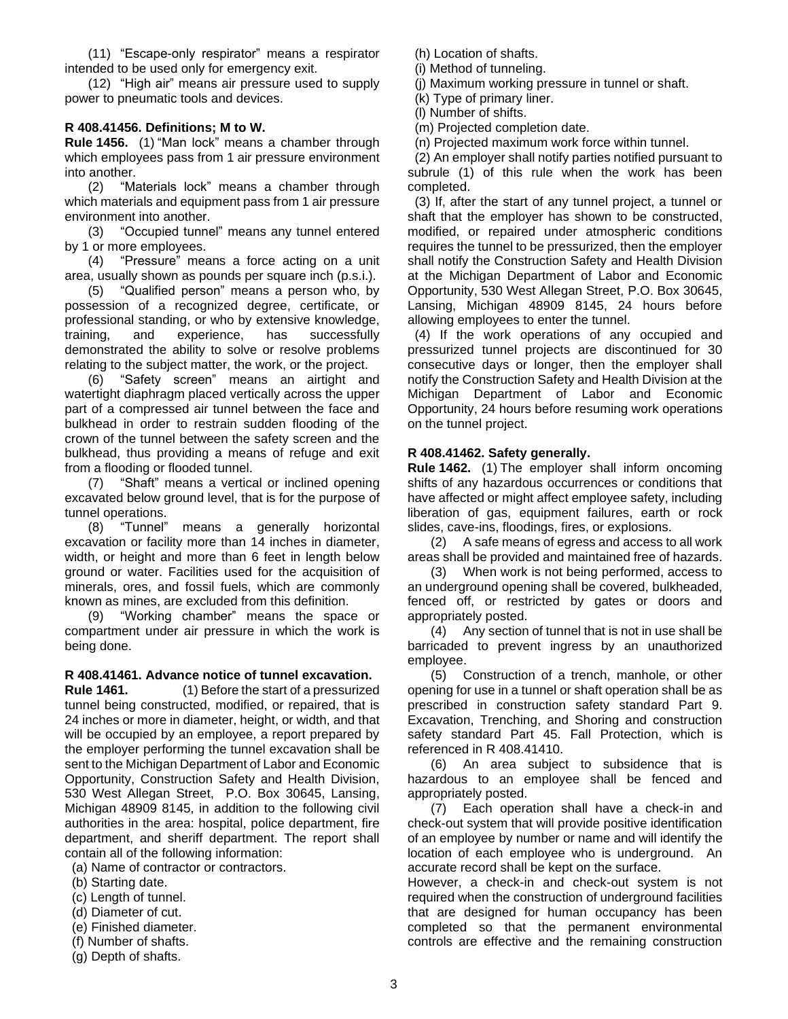(11) "Escape-only respirator" means a respirator intended to be used only for emergency exit.

(12) "High air" means air pressure used to supply power to pneumatic tools and devices.

# <span id="page-2-0"></span>**R 408.41456. Definitions; M to W.**

**Rule 1456.** (1) "Man lock" means a chamber through which employees pass from 1 air pressure environment into another.

(2) "Materials lock" means a chamber through which materials and equipment pass from 1 air pressure environment into another.

(3) "Occupied tunnel" means any tunnel entered by 1 or more employees.

(4) "Pressure" means a force acting on a unit area, usually shown as pounds per square inch (p.s.i.).

(5) "Qualified person" means a person who, by possession of a recognized degree, certificate, or professional standing, or who by extensive knowledge, training, and experience, has successfully demonstrated the ability to solve or resolve problems relating to the subject matter, the work, or the project.

(6) "Safety screen" means an airtight and watertight diaphragm placed vertically across the upper part of a compressed air tunnel between the face and bulkhead in order to restrain sudden flooding of the crown of the tunnel between the safety screen and the bulkhead, thus providing a means of refuge and exit from a flooding or flooded tunnel.

(7) "Shaft" means a vertical or inclined opening excavated below ground level, that is for the purpose of tunnel operations.

(8) "Tunnel" means a generally horizontal excavation or facility more than 14 inches in diameter, width, or height and more than 6 feet in length below ground or water. Facilities used for the acquisition of minerals, ores, and fossil fuels, which are commonly known as mines, are excluded from this definition.

(9) "Working chamber" means the space or compartment under air pressure in which the work is being done.

## <span id="page-2-1"></span>**R 408.41461. Advance notice of tunnel excavation.**

**Rule 1461.** (1) Before the start of a pressurized tunnel being constructed, modified, or repaired, that is 24 inches or more in diameter, height, or width, and that will be occupied by an employee, a report prepared by the employer performing the tunnel excavation shall be sent to the Michigan Department of Labor and Economic Opportunity, Construction Safety and Health Division, 530 West Allegan Street, P.O. Box 30645, Lansing, Michigan 48909 8145, in addition to the following civil authorities in the area: hospital, police department, fire department, and sheriff department. The report shall contain all of the following information:

(a) Name of contractor or contractors.

(b) Starting date.

- (c) Length of tunnel.
- (d) Diameter of cut.
- (e) Finished diameter.
- (f) Number of shafts. (g) Depth of shafts.

 (j) Maximum working pressure in tunnel or shaft. (k) Type of primary liner.

(l) Number of shifts.

 (h) Location of shafts. (i) Method of tunneling.

(m) Projected completion date.

(n) Projected maximum work force within tunnel.

 (2) An employer shall notify parties notified pursuant to subrule (1) of this rule when the work has been completed.

 (3) If, after the start of any tunnel project, a tunnel or shaft that the employer has shown to be constructed, modified, or repaired under atmospheric conditions requires the tunnel to be pressurized, then the employer shall notify the Construction Safety and Health Division at the Michigan Department of Labor and Economic Opportunity, 530 West Allegan Street, P.O. Box 30645, Lansing, Michigan 48909 8145, 24 hours before allowing employees to enter the tunnel.

 (4) If the work operations of any occupied and pressurized tunnel projects are discontinued for 30 consecutive days or longer, then the employer shall notify the Construction Safety and Health Division at the Michigan Department of Labor and Economic Opportunity, 24 hours before resuming work operations on the tunnel project.

## <span id="page-2-2"></span>**R 408.41462. Safety generally.**

**Rule 1462.** (1) The employer shall inform oncoming shifts of any hazardous occurrences or conditions that have affected or might affect employee safety, including liberation of gas, equipment failures, earth or rock slides, cave-ins, floodings, fires, or explosions.

(2) A safe means of egress and access to all work areas shall be provided and maintained free of hazards.

(3) When work is not being performed, access to an underground opening shall be covered, bulkheaded, fenced off, or restricted by gates or doors and appropriately posted.

(4) Any section of tunnel that is not in use shall be barricaded to prevent ingress by an unauthorized employee.

(5) Construction of a trench, manhole, or other opening for use in a tunnel or shaft operation shall be as prescribed in construction safety standard Part 9. Excavation, Trenching, and Shoring and construction safety standard Part 45. Fall Protection, which is referenced in R 408.41410.

(6) An area subject to subsidence that is hazardous to an employee shall be fenced and appropriately posted.

(7) Each operation shall have a check-in and check-out system that will provide positive identification of an employee by number or name and will identify the location of each employee who is underground. An accurate record shall be kept on the surface.

However, a check-in and check-out system is not required when the construction of underground facilities that are designed for human occupancy has been completed so that the permanent environmental controls are effective and the remaining construction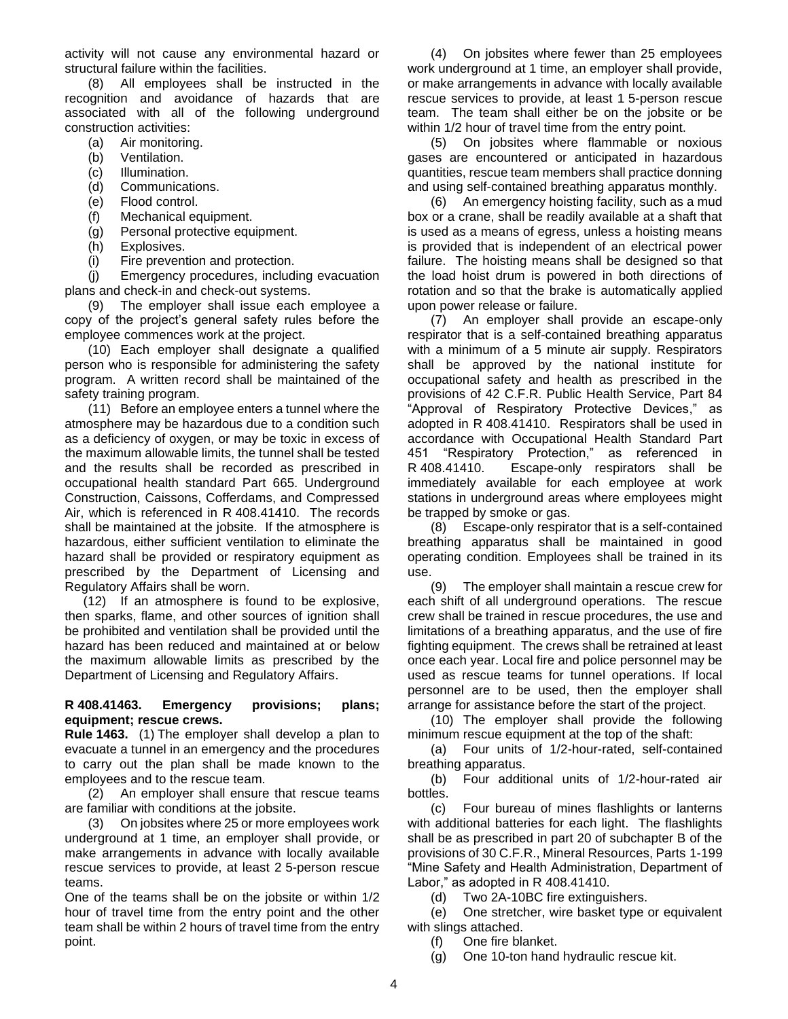activity will not cause any environmental hazard or structural failure within the facilities.

(8) All employees shall be instructed in the recognition and avoidance of hazards that are associated with all of the following underground construction activities:

- (a) Air monitoring.<br>(b) Ventilation.
- Ventilation.
- (c) Illumination.
- (d) Communications.
- (e) Flood control.
- (f) Mechanical equipment.
- (g) Personal protective equipment.
- (h) Explosives.
- (i) Fire prevention and protection.

(j) Emergency procedures, including evacuation plans and check-in and check-out systems.

(9) The employer shall issue each employee a copy of the project's general safety rules before the employee commences work at the project.

(10) Each employer shall designate a qualified person who is responsible for administering the safety program. A written record shall be maintained of the safety training program.

(11) Before an employee enters a tunnel where the atmosphere may be hazardous due to a condition such as a deficiency of oxygen, or may be toxic in excess of the maximum allowable limits, the tunnel shall be tested and the results shall be recorded as prescribed in occupational health standard Part 665. Underground Construction, Caissons, Cofferdams, and Compressed Air, which is referenced in R 408.41410. The records shall be maintained at the jobsite. If the atmosphere is hazardous, either sufficient ventilation to eliminate the hazard shall be provided or respiratory equipment as prescribed by the Department of Licensing and Regulatory Affairs shall be worn.

(12) If an atmosphere is found to be explosive, then sparks, flame, and other sources of ignition shall be prohibited and ventilation shall be provided until the hazard has been reduced and maintained at or below the maximum allowable limits as prescribed by the Department of Licensing and Regulatory Affairs.

## <span id="page-3-0"></span>**R 408.41463. Emergency provisions; plans; equipment; rescue crews.**

**Rule 1463.** (1) The employer shall develop a plan to evacuate a tunnel in an emergency and the procedures to carry out the plan shall be made known to the employees and to the rescue team.

(2) An employer shall ensure that rescue teams are familiar with conditions at the jobsite.

(3) On jobsites where 25 or more employees work underground at 1 time, an employer shall provide, or make arrangements in advance with locally available rescue services to provide, at least 2 5-person rescue teams.

One of the teams shall be on the jobsite or within 1/2 hour of travel time from the entry point and the other team shall be within 2 hours of travel time from the entry point.

(4) On jobsites where fewer than 25 employees work underground at 1 time, an employer shall provide, or make arrangements in advance with locally available rescue services to provide, at least 1 5-person rescue team. The team shall either be on the jobsite or be within 1/2 hour of travel time from the entry point.

(5) On jobsites where flammable or noxious gases are encountered or anticipated in hazardous quantities, rescue team members shall practice donning and using self-contained breathing apparatus monthly.

(6) An emergency hoisting facility, such as a mud box or a crane, shall be readily available at a shaft that is used as a means of egress, unless a hoisting means is provided that is independent of an electrical power failure. The hoisting means shall be designed so that the load hoist drum is powered in both directions of rotation and so that the brake is automatically applied upon power release or failure.

(7) An employer shall provide an escape-only respirator that is a self-contained breathing apparatus with a minimum of a 5 minute air supply. Respirators shall be approved by the national institute for occupational safety and health as prescribed in the provisions of 42 C.F.R. Public Health Service, Part 84 "Approval of Respiratory Protective Devices," as adopted in R 408.41410. Respirators shall be used in accordance with Occupational Health Standard Part 451 "Respiratory Protection," as referenced in R 408.41410. Escape-only respirators shall be immediately available for each employee at work stations in underground areas where employees might be trapped by smoke or gas.

(8) Escape-only respirator that is a self-contained breathing apparatus shall be maintained in good operating condition. Employees shall be trained in its use.

(9) The employer shall maintain a rescue crew for each shift of all underground operations. The rescue crew shall be trained in rescue procedures, the use and limitations of a breathing apparatus, and the use of fire fighting equipment. The crews shall be retrained at least once each year. Local fire and police personnel may be used as rescue teams for tunnel operations. If local personnel are to be used, then the employer shall arrange for assistance before the start of the project.

(10) The employer shall provide the following minimum rescue equipment at the top of the shaft:

(a) Four units of 1/2-hour-rated, self-contained breathing apparatus.

(b) Four additional units of 1/2-hour-rated air bottles.

(c) Four bureau of mines flashlights or lanterns with additional batteries for each light. The flashlights shall be as prescribed in part 20 of subchapter B of the provisions of 30 C.F.R., Mineral Resources, Parts 1-199 "Mine Safety and Health Administration, Department of Labor," as adopted in R 408.41410.

(d) Two 2A-10BC fire extinguishers.

(e) One stretcher, wire basket type or equivalent with slings attached.

(f) One fire blanket.

(g) One 10-ton hand hydraulic rescue kit.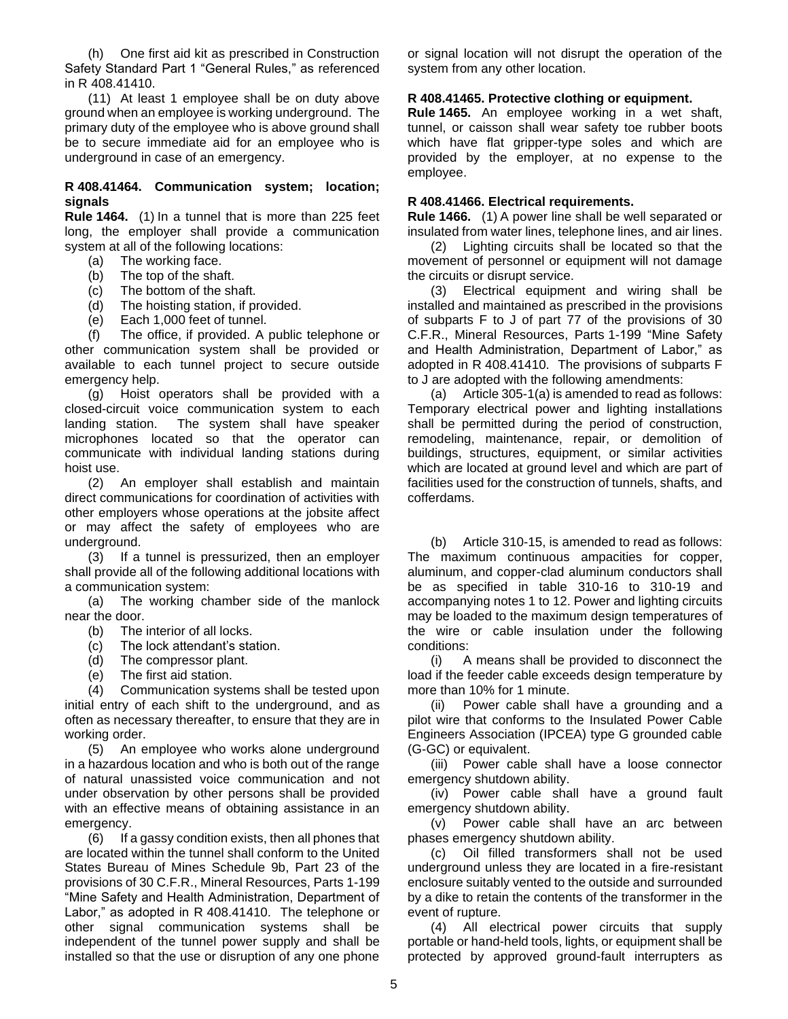(h) One first aid kit as prescribed in Construction Safety Standard Part 1 "General Rules," as referenced in R 408.41410.

(11) At least 1 employee shall be on duty above ground when an employee is working underground. The primary duty of the employee who is above ground shall be to secure immediate aid for an employee who is underground in case of an emergency.

## <span id="page-4-0"></span>**R 408.41464. Communication system; location; signals**

**Rule 1464.** (1) In a tunnel that is more than 225 feet long, the employer shall provide a communication system at all of the following locations:

- (a) The working face.
- (b) The top of the shaft.
- (c) The bottom of the shaft.
- (d) The bottom of the shart.<br>(d) The hoisting station, if provided.
- (e) Each 1,000 feet of tunnel.

(f) The office, if provided. A public telephone or other communication system shall be provided or available to each tunnel project to secure outside emergency help.

(g) Hoist operators shall be provided with a closed-circuit voice communication system to each landing station. The system shall have speaker microphones located so that the operator can communicate with individual landing stations during hoist use.

(2) An employer shall establish and maintain direct communications for coordination of activities with other employers whose operations at the jobsite affect or may affect the safety of employees who are underground.

(3) If a tunnel is pressurized, then an employer shall provide all of the following additional locations with a communication system:

(a) The working chamber side of the manlock near the door.

- (b) The interior of all locks.
- (c) The lock attendant's station.
- (d) The compressor plant.
- (e) The first aid station.

(4) Communication systems shall be tested upon initial entry of each shift to the underground, and as often as necessary thereafter, to ensure that they are in working order.

(5) An employee who works alone underground in a hazardous location and who is both out of the range of natural unassisted voice communication and not under observation by other persons shall be provided with an effective means of obtaining assistance in an emergency.

(6) If a gassy condition exists, then all phones that are located within the tunnel shall conform to the United States Bureau of Mines Schedule 9b, Part 23 of the provisions of 30 C.F.R., Mineral Resources, Parts 1-199 "Mine Safety and Health Administration, Department of Labor," as adopted in R 408.41410. The telephone or other signal communication systems shall be independent of the tunnel power supply and shall be installed so that the use or disruption of any one phone

or signal location will not disrupt the operation of the system from any other location.

#### <span id="page-4-1"></span>**R 408.41465. Protective clothing or equipment.**

**Rule 1465.** An employee working in a wet shaft, tunnel, or caisson shall wear safety toe rubber boots which have flat gripper-type soles and which are provided by the employer, at no expense to the employee.

#### <span id="page-4-2"></span>**R 408.41466. Electrical requirements.**

**Rule 1466.** (1) A power line shall be well separated or insulated from water lines, telephone lines, and air lines.

(2) Lighting circuits shall be located so that the movement of personnel or equipment will not damage the circuits or disrupt service.

(3) Electrical equipment and wiring shall be installed and maintained as prescribed in the provisions of subparts F to J of part 77 of the provisions of 30 C.F.R., Mineral Resources, Parts 1-199 "Mine Safety and Health Administration, Department of Labor," as adopted in R 408.41410. The provisions of subparts F to J are adopted with the following amendments:

(a) Article 305-1(a) is amended to read as follows: Temporary electrical power and lighting installations shall be permitted during the period of construction, remodeling, maintenance, repair, or demolition of buildings, structures, equipment, or similar activities which are located at ground level and which are part of facilities used for the construction of tunnels, shafts, and cofferdams.

(b) Article 310-15, is amended to read as follows: The maximum continuous ampacities for copper, aluminum, and copper-clad aluminum conductors shall be as specified in table 310-16 to 310-19 and accompanying notes 1 to 12. Power and lighting circuits may be loaded to the maximum design temperatures of the wire or cable insulation under the following conditions:

(i) A means shall be provided to disconnect the load if the feeder cable exceeds design temperature by more than 10% for 1 minute.

(ii) Power cable shall have a grounding and a pilot wire that conforms to the Insulated Power Cable Engineers Association (IPCEA) type G grounded cable (G-GC) or equivalent.

(iii) Power cable shall have a loose connector emergency shutdown ability.

(iv) Power cable shall have a ground fault emergency shutdown ability.

(v) Power cable shall have an arc between phases emergency shutdown ability.

(c) Oil filled transformers shall not be used underground unless they are located in a fire-resistant enclosure suitably vented to the outside and surrounded by a dike to retain the contents of the transformer in the event of rupture.

(4) All electrical power circuits that supply portable or hand-held tools, lights, or equipment shall be protected by approved ground-fault interrupters as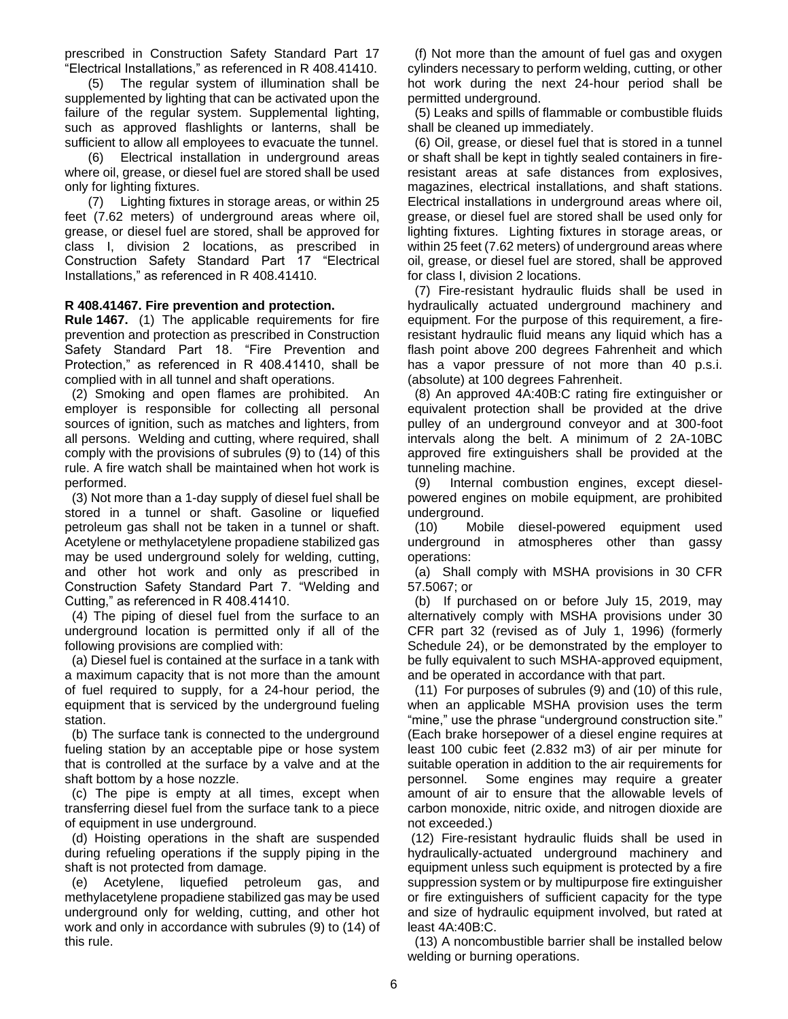prescribed in Construction Safety Standard Part 17 "Electrical Installations," as referenced in R 408.41410.

(5) The regular system of illumination shall be supplemented by lighting that can be activated upon the failure of the regular system. Supplemental lighting, such as approved flashlights or lanterns, shall be sufficient to allow all employees to evacuate the tunnel.

(6) Electrical installation in underground areas where oil, grease, or diesel fuel are stored shall be used only for lighting fixtures.

(7) Lighting fixtures in storage areas, or within 25 feet (7.62 meters) of underground areas where oil, grease, or diesel fuel are stored, shall be approved for class I, division 2 locations, as prescribed in Construction Safety Standard Part 17 "Electrical Installations," as referenced in R 408.41410.

## <span id="page-5-0"></span>**R 408.41467. Fire prevention and protection.**

<span id="page-5-1"></span>**Rule 1467.** (1) The applicable requirements for fire prevention and protection as prescribed in Construction Safety Standard Part 18. "Fire Prevention and Protection," as referenced in R 408.41410, shall be complied with in all tunnel and shaft operations.

 (2) Smoking and open flames are prohibited. An employer is responsible for collecting all personal sources of ignition, such as matches and lighters, from all persons. Welding and cutting, where required, shall comply with the provisions of subrules (9) to (14) of this rule. A fire watch shall be maintained when hot work is performed.

 (3) Not more than a 1-day supply of diesel fuel shall be stored in a tunnel or shaft. Gasoline or liquefied petroleum gas shall not be taken in a tunnel or shaft. Acetylene or methylacetylene propadiene stabilized gas may be used underground solely for welding, cutting, and other hot work and only as prescribed in Construction Safety Standard Part 7. "Welding and Cutting," as referenced in R 408.41410.

 (4) The piping of diesel fuel from the surface to an underground location is permitted only if all of the following provisions are complied with:

 (a) Diesel fuel is contained at the surface in a tank with a maximum capacity that is not more than the amount of fuel required to supply, for a 24-hour period, the equipment that is serviced by the underground fueling station.

 (b) The surface tank is connected to the underground fueling station by an acceptable pipe or hose system that is controlled at the surface by a valve and at the shaft bottom by a hose nozzle.

 (c) The pipe is empty at all times, except when transferring diesel fuel from the surface tank to a piece of equipment in use underground.

 (d) Hoisting operations in the shaft are suspended during refueling operations if the supply piping in the shaft is not protected from damage.

 (e) Acetylene, liquefied petroleum gas, and methylacetylene propadiene stabilized gas may be used underground only for welding, cutting, and other hot work and only in accordance with subrules (9) to (14) of this rule.

 (f) Not more than the amount of fuel gas and oxygen cylinders necessary to perform welding, cutting, or other hot work during the next 24-hour period shall be permitted underground.

 (5) Leaks and spills of flammable or combustible fluids shall be cleaned up immediately.

 (6) Oil, grease, or diesel fuel that is stored in a tunnel or shaft shall be kept in tightly sealed containers in fireresistant areas at safe distances from explosives, magazines, electrical installations, and shaft stations. Electrical installations in underground areas where oil, grease, or diesel fuel are stored shall be used only for lighting fixtures. Lighting fixtures in storage areas, or within 25 feet (7.62 meters) of underground areas where oil, grease, or diesel fuel are stored, shall be approved for class I, division 2 locations.

 (7) Fire-resistant hydraulic fluids shall be used in hydraulically actuated underground machinery and equipment. For the purpose of this requirement, a fireresistant hydraulic fluid means any liquid which has a flash point above 200 degrees Fahrenheit and which has a vapor pressure of not more than 40 p.s.i. (absolute) at 100 degrees Fahrenheit.

 (8) An approved 4A:40B:C rating fire extinguisher or equivalent protection shall be provided at the drive pulley of an underground conveyor and at 300-foot intervals along the belt. A minimum of 2 2A-10BC approved fire extinguishers shall be provided at the tunneling machine.

 (9) Internal combustion engines, except dieselpowered engines on mobile equipment, are prohibited underground.

 (10) Mobile diesel-powered equipment used underground in atmospheres other than gassy operations:

 (a) Shall comply with MSHA provisions in 30 CFR 57.5067; or

 (b) If purchased on or before July 15, 2019, may alternatively comply with MSHA provisions under 30 CFR part 32 (revised as of July 1, 1996) (formerly Schedule 24), or be demonstrated by the employer to be fully equivalent to such MSHA-approved equipment, and be operated in accordance with that part.

 (11) For purposes of subrules (9) and (10) of this rule, when an applicable MSHA provision uses the term "mine," use the phrase "underground construction site." (Each brake horsepower of a diesel engine requires at least 100 cubic feet (2.832 m3) of air per minute for suitable operation in addition to the air requirements for personnel. Some engines may require a greater amount of air to ensure that the allowable levels of carbon monoxide, nitric oxide, and nitrogen dioxide are not exceeded.)

(12) Fire-resistant hydraulic fluids shall be used in hydraulically-actuated underground machinery and equipment unless such equipment is protected by a fire suppression system or by multipurpose fire extinguisher or fire extinguishers of sufficient capacity for the type and size of hydraulic equipment involved, but rated at least 4A:40B:C.

 (13) A noncombustible barrier shall be installed below welding or burning operations.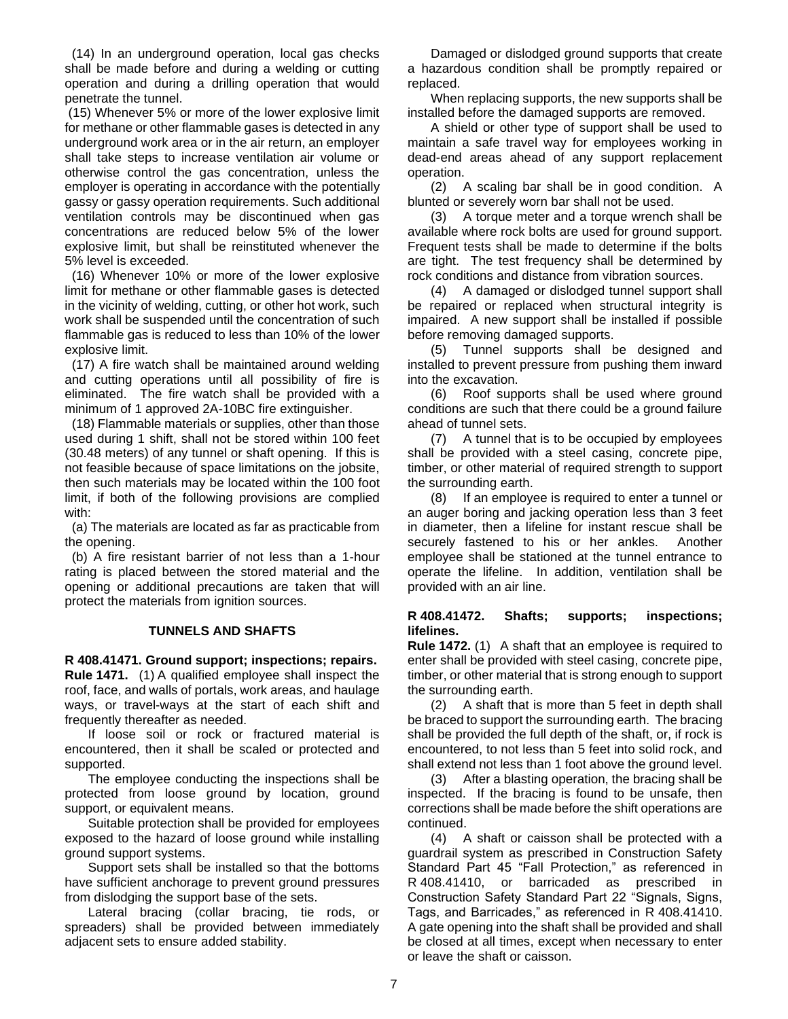(14) In an underground operation, local gas checks shall be made before and during a welding or cutting operation and during a drilling operation that would penetrate the tunnel.

(15) Whenever 5% or more of the lower explosive limit for methane or other flammable gases is detected in any underground work area or in the air return, an employer shall take steps to increase ventilation air volume or otherwise control the gas concentration, unless the employer is operating in accordance with the potentially gassy or gassy operation requirements. Such additional ventilation controls may be discontinued when gas concentrations are reduced below 5% of the lower explosive limit, but shall be reinstituted whenever the 5% level is exceeded.

 (16) Whenever 10% or more of the lower explosive limit for methane or other flammable gases is detected in the vicinity of welding, cutting, or other hot work, such work shall be suspended until the concentration of such flammable gas is reduced to less than 10% of the lower explosive limit.

 (17) A fire watch shall be maintained around welding and cutting operations until all possibility of fire is eliminated. The fire watch shall be provided with a minimum of 1 approved 2A-10BC fire extinguisher.

 (18) Flammable materials or supplies, other than those used during 1 shift, shall not be stored within 100 feet (30.48 meters) of any tunnel or shaft opening. If this is not feasible because of space limitations on the jobsite, then such materials may be located within the 100 foot limit, if both of the following provisions are complied with:

 (a) The materials are located as far as practicable from the opening.

 (b) A fire resistant barrier of not less than a 1-hour rating is placed between the stored material and the opening or additional precautions are taken that will protect the materials from ignition sources.

## **TUNNELS AND SHAFTS**

<span id="page-6-0"></span>**R 408.41471. Ground support; inspections; repairs. Rule 1471.** (1) A qualified employee shall inspect the

roof, face, and walls of portals, work areas, and haulage ways, or travel-ways at the start of each shift and frequently thereafter as needed.

If loose soil or rock or fractured material is encountered, then it shall be scaled or protected and supported.

The employee conducting the inspections shall be protected from loose ground by location, ground support, or equivalent means.

Suitable protection shall be provided for employees exposed to the hazard of loose ground while installing ground support systems.

Support sets shall be installed so that the bottoms have sufficient anchorage to prevent ground pressures from dislodging the support base of the sets.

Lateral bracing (collar bracing, tie rods, or spreaders) shall be provided between immediately adjacent sets to ensure added stability.

Damaged or dislodged ground supports that create a hazardous condition shall be promptly repaired or replaced.

When replacing supports, the new supports shall be installed before the damaged supports are removed.

A shield or other type of support shall be used to maintain a safe travel way for employees working in dead-end areas ahead of any support replacement operation.

(2) A scaling bar shall be in good condition. A blunted or severely worn bar shall not be used.

(3) A torque meter and a torque wrench shall be available where rock bolts are used for ground support. Frequent tests shall be made to determine if the bolts are tight. The test frequency shall be determined by rock conditions and distance from vibration sources.

(4) A damaged or dislodged tunnel support shall be repaired or replaced when structural integrity is impaired. A new support shall be installed if possible before removing damaged supports.

(5) Tunnel supports shall be designed and installed to prevent pressure from pushing them inward into the excavation.

(6) Roof supports shall be used where ground conditions are such that there could be a ground failure ahead of tunnel sets.

(7) A tunnel that is to be occupied by employees shall be provided with a steel casing, concrete pipe, timber, or other material of required strength to support the surrounding earth.

(8) If an employee is required to enter a tunnel or an auger boring and jacking operation less than 3 feet in diameter, then a lifeline for instant rescue shall be securely fastened to his or her ankles. Another employee shall be stationed at the tunnel entrance to operate the lifeline. In addition, ventilation shall be provided with an air line.

## <span id="page-6-1"></span>**R 408.41472. Shafts; supports; inspections; lifelines.**

**Rule 1472.** (1) A shaft that an employee is required to enter shall be provided with steel casing, concrete pipe, timber, or other material that is strong enough to support the surrounding earth.

(2) A shaft that is more than 5 feet in depth shall be braced to support the surrounding earth. The bracing shall be provided the full depth of the shaft, or, if rock is encountered, to not less than 5 feet into solid rock, and shall extend not less than 1 foot above the ground level.

(3) After a blasting operation, the bracing shall be inspected. If the bracing is found to be unsafe, then corrections shall be made before the shift operations are continued.

(4) A shaft or caisson shall be protected with a guardrail system as prescribed in Construction Safety Standard Part 45 "Fall Protection," as referenced in R 408.41410, or barricaded as prescribed in Construction Safety Standard Part 22 "Signals, Signs, Tags, and Barricades," as referenced in R 408.41410. A gate opening into the shaft shall be provided and shall be closed at all times, except when necessary to enter or leave the shaft or caisson.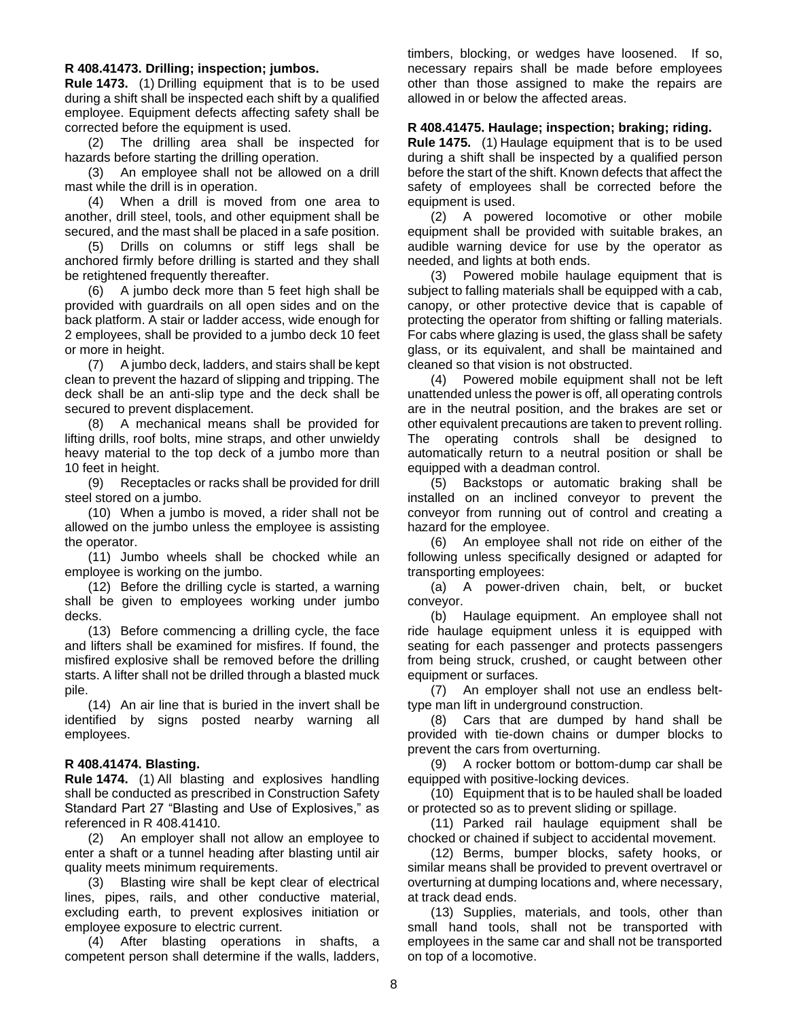#### <span id="page-7-0"></span>**R 408.41473. Drilling; inspection; jumbos.**

**Rule 1473.** (1) Drilling equipment that is to be used during a shift shall be inspected each shift by a qualified employee. Equipment defects affecting safety shall be corrected before the equipment is used.

(2) The drilling area shall be inspected for hazards before starting the drilling operation.

(3) An employee shall not be allowed on a drill mast while the drill is in operation.

(4) When a drill is moved from one area to another, drill steel, tools, and other equipment shall be secured, and the mast shall be placed in a safe position.

(5) Drills on columns or stiff legs shall be anchored firmly before drilling is started and they shall be retightened frequently thereafter.

(6) A jumbo deck more than 5 feet high shall be provided with guardrails on all open sides and on the back platform. A stair or ladder access, wide enough for 2 employees, shall be provided to a jumbo deck 10 feet or more in height.

(7) A jumbo deck, ladders, and stairs shall be kept clean to prevent the hazard of slipping and tripping. The deck shall be an anti-slip type and the deck shall be secured to prevent displacement.

(8) A mechanical means shall be provided for lifting drills, roof bolts, mine straps, and other unwieldy heavy material to the top deck of a jumbo more than 10 feet in height.

(9) Receptacles or racks shall be provided for drill steel stored on a jumbo.

(10) When a jumbo is moved, a rider shall not be allowed on the jumbo unless the employee is assisting the operator.

(11) Jumbo wheels shall be chocked while an employee is working on the jumbo.

(12) Before the drilling cycle is started, a warning shall be given to employees working under jumbo decks.

(13) Before commencing a drilling cycle, the face and lifters shall be examined for misfires. If found, the misfired explosive shall be removed before the drilling starts. A lifter shall not be drilled through a blasted muck pile.

(14) An air line that is buried in the invert shall be identified by signs posted nearby warning all employees.

## <span id="page-7-1"></span>**R 408.41474. Blasting.**

**Rule 1474.** (1) All blasting and explosives handling shall be conducted as prescribed in Construction Safety Standard Part 27 "Blasting and Use of Explosives," as referenced in R 408.41410.

(2) An employer shall not allow an employee to enter a shaft or a tunnel heading after blasting until air quality meets minimum requirements.

(3) Blasting wire shall be kept clear of electrical lines, pipes, rails, and other conductive material, excluding earth, to prevent explosives initiation or employee exposure to electric current.

(4) After blasting operations in shafts, a competent person shall determine if the walls, ladders, timbers, blocking, or wedges have loosened. If so, necessary repairs shall be made before employees other than those assigned to make the repairs are allowed in or below the affected areas.

#### <span id="page-7-2"></span>**R 408.41475. Haulage; inspection; braking; riding.**

**Rule 1475.** (1) Haulage equipment that is to be used during a shift shall be inspected by a qualified person before the start of the shift. Known defects that affect the safety of employees shall be corrected before the equipment is used.

(2) A powered locomotive or other mobile equipment shall be provided with suitable brakes, an audible warning device for use by the operator as needed, and lights at both ends.

(3) Powered mobile haulage equipment that is subject to falling materials shall be equipped with a cab, canopy, or other protective device that is capable of protecting the operator from shifting or falling materials. For cabs where glazing is used, the glass shall be safety glass, or its equivalent, and shall be maintained and cleaned so that vision is not obstructed.

(4) Powered mobile equipment shall not be left unattended unless the power is off, all operating controls are in the neutral position, and the brakes are set or other equivalent precautions are taken to prevent rolling. The operating controls shall be designed to automatically return to a neutral position or shall be equipped with a deadman control.

(5) Backstops or automatic braking shall be installed on an inclined conveyor to prevent the conveyor from running out of control and creating a hazard for the employee.

(6) An employee shall not ride on either of the following unless specifically designed or adapted for transporting employees:

(a) A power-driven chain, belt, or bucket conveyor.

(b) Haulage equipment. An employee shall not ride haulage equipment unless it is equipped with seating for each passenger and protects passengers from being struck, crushed, or caught between other equipment or surfaces.

(7) An employer shall not use an endless belttype man lift in underground construction.

(8) Cars that are dumped by hand shall be provided with tie-down chains or dumper blocks to prevent the cars from overturning.

(9) A rocker bottom or bottom-dump car shall be equipped with positive-locking devices.

(10) Equipment that is to be hauled shall be loaded or protected so as to prevent sliding or spillage.

(11) Parked rail haulage equipment shall be chocked or chained if subject to accidental movement.

(12) Berms, bumper blocks, safety hooks, or similar means shall be provided to prevent overtravel or overturning at dumping locations and, where necessary, at track dead ends.

(13) Supplies, materials, and tools, other than small hand tools, shall not be transported with employees in the same car and shall not be transported on top of a locomotive.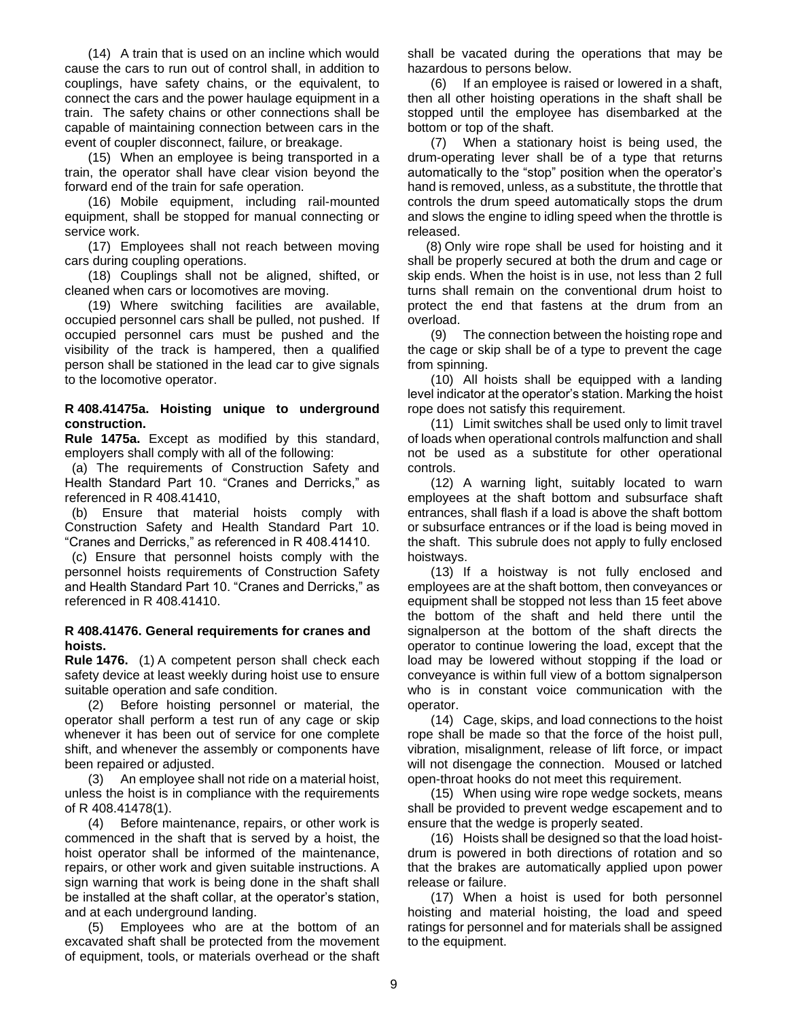(14) A train that is used on an incline which would cause the cars to run out of control shall, in addition to couplings, have safety chains, or the equivalent, to connect the cars and the power haulage equipment in a train. The safety chains or other connections shall be capable of maintaining connection between cars in the event of coupler disconnect, failure, or breakage.

(15) When an employee is being transported in a train, the operator shall have clear vision beyond the forward end of the train for safe operation.

(16) Mobile equipment, including rail-mounted equipment, shall be stopped for manual connecting or service work.

(17) Employees shall not reach between moving cars during coupling operations.

(18) Couplings shall not be aligned, shifted, or cleaned when cars or locomotives are moving.

(19) Where switching facilities are available, occupied personnel cars shall be pulled, not pushed. If occupied personnel cars must be pushed and the visibility of the track is hampered, then a qualified person shall be stationed in the lead car to give signals to the locomotive operator.

## <span id="page-8-0"></span>**R 408.41475a. Hoisting unique to underground construction.**

**Rule 1475a.** Except as modified by this standard, employers shall comply with all of the following:

 (a) The requirements of Construction Safety and Health Standard Part 10. "Cranes and Derricks," as referenced in R 408.41410,

 (b) Ensure that material hoists comply with Construction Safety and Health Standard Part 10. "Cranes and Derricks," as referenced in R 408.41410.

 (c) Ensure that personnel hoists comply with the personnel hoists requirements of Construction Safety and Health Standard Part 10. "Cranes and Derricks," as referenced in R 408.41410.

## <span id="page-8-1"></span>**R 408.41476. General requirements for cranes and hoists.**

**Rule 1476.** (1) A competent person shall check each safety device at least weekly during hoist use to ensure suitable operation and safe condition.

(2) Before hoisting personnel or material, the operator shall perform a test run of any cage or skip whenever it has been out of service for one complete shift, and whenever the assembly or components have been repaired or adjusted.

(3) An employee shall not ride on a material hoist, unless the hoist is in compliance with the requirements of R 408.41478(1).

(4) Before maintenance, repairs, or other work is commenced in the shaft that is served by a hoist, the hoist operator shall be informed of the maintenance, repairs, or other work and given suitable instructions. A sign warning that work is being done in the shaft shall be installed at the shaft collar, at the operator's station, and at each underground landing.

(5) Employees who are at the bottom of an excavated shaft shall be protected from the movement of equipment, tools, or materials overhead or the shaft

shall be vacated during the operations that may be hazardous to persons below.

(6) If an employee is raised or lowered in a shaft, then all other hoisting operations in the shaft shall be stopped until the employee has disembarked at the bottom or top of the shaft.

(7) When a stationary hoist is being used, the drum-operating lever shall be of a type that returns automatically to the "stop" position when the operator's hand is removed, unless, as a substitute, the throttle that controls the drum speed automatically stops the drum and slows the engine to idling speed when the throttle is released.

(8) Only wire rope shall be used for hoisting and it shall be properly secured at both the drum and cage or skip ends. When the hoist is in use, not less than 2 full turns shall remain on the conventional drum hoist to protect the end that fastens at the drum from an overload.

(9) The connection between the hoisting rope and the cage or skip shall be of a type to prevent the cage from spinning.

(10) All hoists shall be equipped with a landing level indicator at the operator's station. Marking the hoist rope does not satisfy this requirement.

(11) Limit switches shall be used only to limit travel of loads when operational controls malfunction and shall not be used as a substitute for other operational controls.

(12) A warning light, suitably located to warn employees at the shaft bottom and subsurface shaft entrances, shall flash if a load is above the shaft bottom or subsurface entrances or if the load is being moved in the shaft. This subrule does not apply to fully enclosed hoistways.

(13) If a hoistway is not fully enclosed and employees are at the shaft bottom, then conveyances or equipment shall be stopped not less than 15 feet above the bottom of the shaft and held there until the signalperson at the bottom of the shaft directs the operator to continue lowering the load, except that the load may be lowered without stopping if the load or conveyance is within full view of a bottom signalperson who is in constant voice communication with the operator.

(14) Cage, skips, and load connections to the hoist rope shall be made so that the force of the hoist pull, vibration, misalignment, release of lift force, or impact will not disengage the connection. Moused or latched open-throat hooks do not meet this requirement.

(15) When using wire rope wedge sockets, means shall be provided to prevent wedge escapement and to ensure that the wedge is properly seated.

(16) Hoists shall be designed so that the load hoistdrum is powered in both directions of rotation and so that the brakes are automatically applied upon power release or failure.

(17) When a hoist is used for both personnel hoisting and material hoisting, the load and speed ratings for personnel and for materials shall be assigned to the equipment.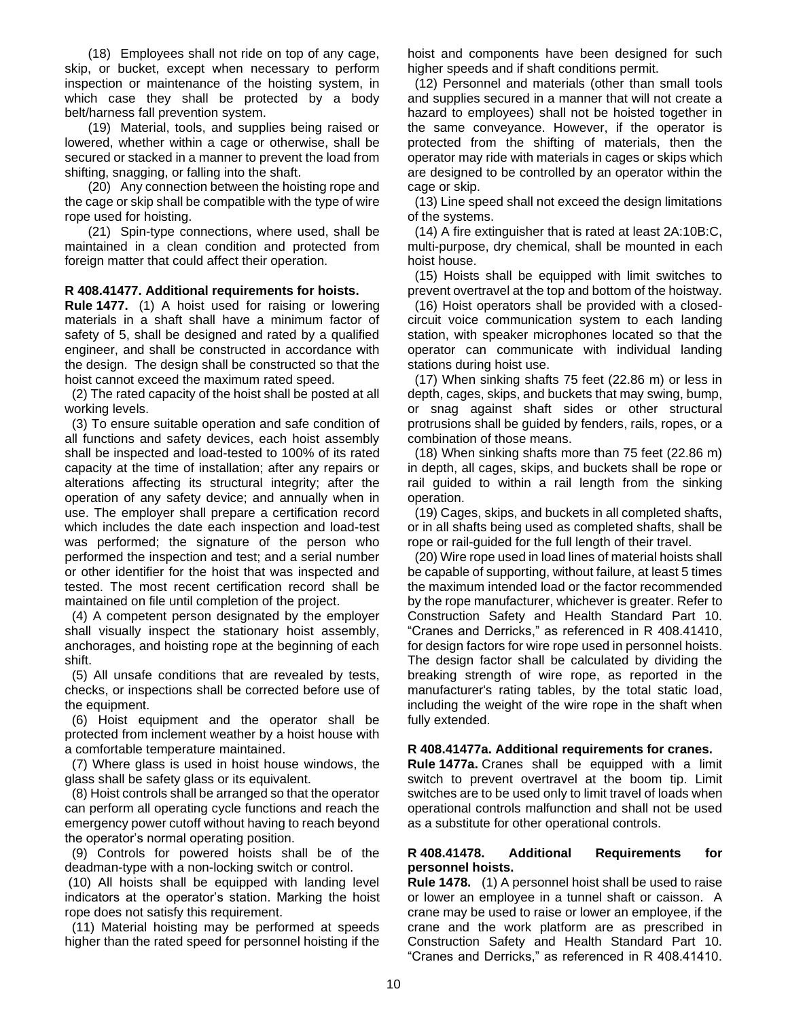(18) Employees shall not ride on top of any cage, skip, or bucket, except when necessary to perform inspection or maintenance of the hoisting system, in which case they shall be protected by a body belt/harness fall prevention system.

(19) Material, tools, and supplies being raised or lowered, whether within a cage or otherwise, shall be secured or stacked in a manner to prevent the load from shifting, snagging, or falling into the shaft.

(20) Any connection between the hoisting rope and the cage or skip shall be compatible with the type of wire rope used for hoisting.

(21) Spin-type connections, where used, shall be maintained in a clean condition and protected from foreign matter that could affect their operation.

## <span id="page-9-0"></span>**R 408.41477. Additional requirements for hoists.**

**Rule 1477.** (1) A hoist used for raising or lowering materials in a shaft shall have a minimum factor of safety of 5, shall be designed and rated by a qualified engineer, and shall be constructed in accordance with the design. The design shall be constructed so that the hoist cannot exceed the maximum rated speed.

 (2) The rated capacity of the hoist shall be posted at all working levels.

 (3) To ensure suitable operation and safe condition of all functions and safety devices, each hoist assembly shall be inspected and load-tested to 100% of its rated capacity at the time of installation; after any repairs or alterations affecting its structural integrity; after the operation of any safety device; and annually when in use. The employer shall prepare a certification record which includes the date each inspection and load-test was performed; the signature of the person who performed the inspection and test; and a serial number or other identifier for the hoist that was inspected and tested. The most recent certification record shall be maintained on file until completion of the project.

 (4) A competent person designated by the employer shall visually inspect the stationary hoist assembly, anchorages, and hoisting rope at the beginning of each shift.

 (5) All unsafe conditions that are revealed by tests, checks, or inspections shall be corrected before use of the equipment.

 (6) Hoist equipment and the operator shall be protected from inclement weather by a hoist house with a comfortable temperature maintained.

 (7) Where glass is used in hoist house windows, the glass shall be safety glass or its equivalent.

 (8) Hoist controls shall be arranged so that the operator can perform all operating cycle functions and reach the emergency power cutoff without having to reach beyond the operator's normal operating position.

 (9) Controls for powered hoists shall be of the deadman-type with a non-locking switch or control.

(10) All hoists shall be equipped with landing level indicators at the operator's station. Marking the hoist rope does not satisfy this requirement.

 (11) Material hoisting may be performed at speeds higher than the rated speed for personnel hoisting if the

hoist and components have been designed for such higher speeds and if shaft conditions permit.

 (12) Personnel and materials (other than small tools and supplies secured in a manner that will not create a hazard to employees) shall not be hoisted together in the same conveyance. However, if the operator is protected from the shifting of materials, then the operator may ride with materials in cages or skips which are designed to be controlled by an operator within the cage or skip.

 (13) Line speed shall not exceed the design limitations of the systems.

 (14) A fire extinguisher that is rated at least 2A:10B:C, multi-purpose, dry chemical, shall be mounted in each hoist house.

 (15) Hoists shall be equipped with limit switches to prevent overtravel at the top and bottom of the hoistway.

 (16) Hoist operators shall be provided with a closedcircuit voice communication system to each landing station, with speaker microphones located so that the operator can communicate with individual landing stations during hoist use.

 (17) When sinking shafts 75 feet (22.86 m) or less in depth, cages, skips, and buckets that may swing, bump, or snag against shaft sides or other structural protrusions shall be guided by fenders, rails, ropes, or a combination of those means.

 (18) When sinking shafts more than 75 feet (22.86 m) in depth, all cages, skips, and buckets shall be rope or rail guided to within a rail length from the sinking operation.

 (19) Cages, skips, and buckets in all completed shafts, or in all shafts being used as completed shafts, shall be rope or rail-guided for the full length of their travel.

 (20) Wire rope used in load lines of material hoists shall be capable of supporting, without failure, at least 5 times the maximum intended load or the factor recommended by the rope manufacturer, whichever is greater. Refer to Construction Safety and Health Standard Part 10. "Cranes and Derricks," as referenced in R 408.41410, for design factors for wire rope used in personnel hoists. The design factor shall be calculated by dividing the breaking strength of wire rope, as reported in the manufacturer's rating tables, by the total static load, including the weight of the wire rope in the shaft when fully extended.

## <span id="page-9-1"></span>**R 408.41477a. Additional requirements for cranes.**

**Rule 1477a.** Cranes shall be equipped with a limit switch to prevent overtravel at the boom tip. Limit switches are to be used only to limit travel of loads when operational controls malfunction and shall not be used as a substitute for other operational controls.

## <span id="page-9-2"></span>**R 408.41478. Additional Requirements for personnel hoists.**

**Rule 1478.** (1) A personnel hoist shall be used to raise or lower an employee in a tunnel shaft or caisson. A crane may be used to raise or lower an employee, if the crane and the work platform are as prescribed in Construction Safety and Health Standard Part 10. "Cranes and Derricks," as referenced in R 408.41410.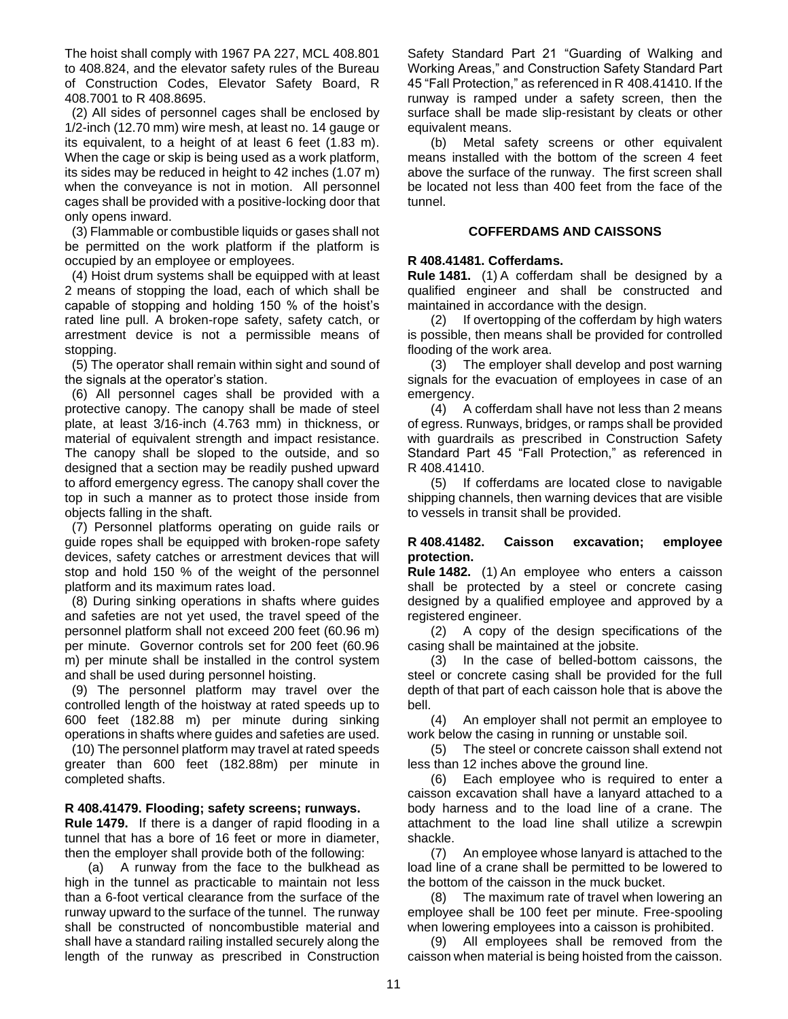The hoist shall comply with 1967 PA 227, MCL 408.801 to 408.824, and the elevator safety rules of the Bureau of Construction Codes, Elevator Safety Board, R 408.7001 to R 408.8695.

 (2) All sides of personnel cages shall be enclosed by 1/2-inch (12.70 mm) wire mesh, at least no. 14 gauge or its equivalent, to a height of at least 6 feet (1.83 m). When the cage or skip is being used as a work platform, its sides may be reduced in height to 42 inches (1.07 m) when the conveyance is not in motion. All personnel cages shall be provided with a positive-locking door that only opens inward.

 (3) Flammable or combustible liquids or gases shall not be permitted on the work platform if the platform is occupied by an employee or employees.

 (4) Hoist drum systems shall be equipped with at least 2 means of stopping the load, each of which shall be capable of stopping and holding 150 % of the hoist's rated line pull. A broken-rope safety, safety catch, or arrestment device is not a permissible means of stopping.

 (5) The operator shall remain within sight and sound of the signals at the operator's station.

 (6) All personnel cages shall be provided with a protective canopy. The canopy shall be made of steel plate, at least 3/16-inch (4.763 mm) in thickness, or material of equivalent strength and impact resistance. The canopy shall be sloped to the outside, and so designed that a section may be readily pushed upward to afford emergency egress. The canopy shall cover the top in such a manner as to protect those inside from objects falling in the shaft.

 (7) Personnel platforms operating on guide rails or guide ropes shall be equipped with broken-rope safety devices, safety catches or arrestment devices that will stop and hold 150 % of the weight of the personnel platform and its maximum rates load.

 (8) During sinking operations in shafts where guides and safeties are not yet used, the travel speed of the personnel platform shall not exceed 200 feet (60.96 m) per minute. Governor controls set for 200 feet (60.96 m) per minute shall be installed in the control system and shall be used during personnel hoisting.

 (9) The personnel platform may travel over the controlled length of the hoistway at rated speeds up to 600 feet (182.88 m) per minute during sinking operations in shafts where guides and safeties are used.

 (10) The personnel platform may travel at rated speeds greater than 600 feet (182.88m) per minute in completed shafts.

## <span id="page-10-0"></span>**R 408.41479. Flooding; safety screens; runways.**

**Rule 1479.** If there is a danger of rapid flooding in a tunnel that has a bore of 16 feet or more in diameter, then the employer shall provide both of the following:

(a) A runway from the face to the bulkhead as high in the tunnel as practicable to maintain not less than a 6-foot vertical clearance from the surface of the runway upward to the surface of the tunnel. The runway shall be constructed of noncombustible material and shall have a standard railing installed securely along the length of the runway as prescribed in Construction

Safety Standard Part 21 "Guarding of Walking and Working Areas," and Construction Safety Standard Part 45 "Fall Protection," as referenced in R 408.41410. If the runway is ramped under a safety screen, then the surface shall be made slip-resistant by cleats or other equivalent means.

(b) Metal safety screens or other equivalent means installed with the bottom of the screen 4 feet above the surface of the runway. The first screen shall be located not less than 400 feet from the face of the tunnel.

# **COFFERDAMS AND CAISSONS**

# <span id="page-10-2"></span><span id="page-10-1"></span>**R 408.41481. Cofferdams.**

**Rule 1481.** (1) A cofferdam shall be designed by a qualified engineer and shall be constructed and maintained in accordance with the design.

(2) If overtopping of the cofferdam by high waters is possible, then means shall be provided for controlled flooding of the work area.

(3) The employer shall develop and post warning signals for the evacuation of employees in case of an emergency.

(4) A cofferdam shall have not less than 2 means of egress. Runways, bridges, or ramps shall be provided with guardrails as prescribed in Construction Safety Standard Part 45 "Fall Protection," as referenced in R 408.41410.

(5) If cofferdams are located close to navigable shipping channels, then warning devices that are visible to vessels in transit shall be provided.

# <span id="page-10-3"></span>**R 408.41482. Caisson excavation; employee protection.**

**Rule 1482.** (1) An employee who enters a caisson shall be protected by a steel or concrete casing designed by a qualified employee and approved by a registered engineer.

(2) A copy of the design specifications of the casing shall be maintained at the jobsite.

(3) In the case of belled-bottom caissons, the steel or concrete casing shall be provided for the full depth of that part of each caisson hole that is above the bell.

(4) An employer shall not permit an employee to work below the casing in running or unstable soil.

(5) The steel or concrete caisson shall extend not less than 12 inches above the ground line.

(6) Each employee who is required to enter a caisson excavation shall have a lanyard attached to a body harness and to the load line of a crane. The attachment to the load line shall utilize a screwpin shackle.

(7) An employee whose lanyard is attached to the load line of a crane shall be permitted to be lowered to the bottom of the caisson in the muck bucket.

(8) The maximum rate of travel when lowering an employee shall be 100 feet per minute. Free-spooling when lowering employees into a caisson is prohibited.

(9) All employees shall be removed from the caisson when material is being hoisted from the caisson.